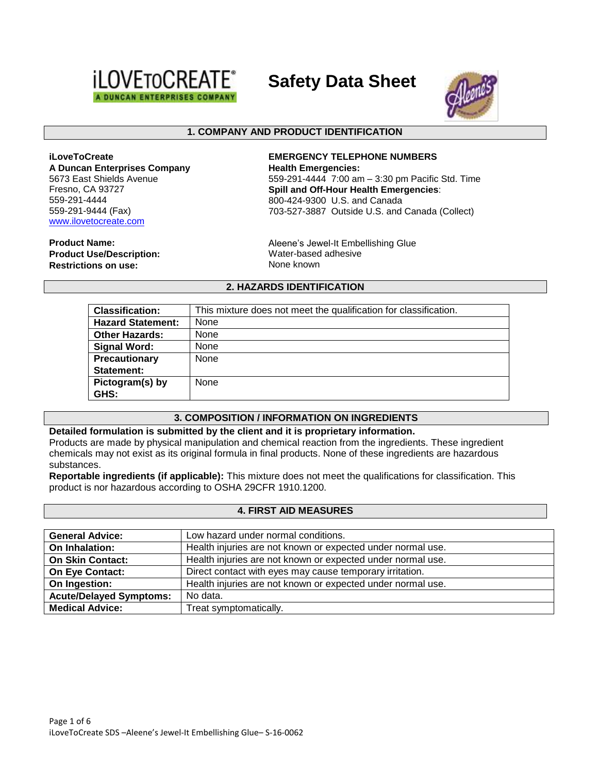

**Safety Data Sheet**



### **1. COMPANY AND PRODUCT IDENTIFICATION**

**iLoveToCreate A Duncan Enterprises Company** 5673 East Shields Avenue Fresno, CA 93727 559-291-4444 559-291-9444 (Fax) [www.ilovetocreate.com](http://www.ilovetocreate.com/)

**Product Name:**

**Product Use/Description: Restrictions on use:**

**EMERGENCY TELEPHONE NUMBERS Health Emergencies:** 559-291-4444 7:00 am – 3:30 pm Pacific Std. Time **Spill and Off-Hour Health Emergencies**: 800-424-9300 U.S. and Canada 703-527-3887 Outside U.S. and Canada (Collect)

Aleene's Jewel-It Embellishing Glue Water-based adhesive None known

### **2. HAZARDS IDENTIFICATION**

| <b>Classification:</b>   | This mixture does not meet the qualification for classification. |
|--------------------------|------------------------------------------------------------------|
| <b>Hazard Statement:</b> | None                                                             |
| <b>Other Hazards:</b>    | None                                                             |
| Signal Word:             | None                                                             |
| Precautionary            | None                                                             |
| Statement:               |                                                                  |
| Pictogram(s) by          | None                                                             |
| GHS:                     |                                                                  |

#### **3. COMPOSITION / INFORMATION ON INGREDIENTS**

#### **Detailed formulation is submitted by the client and it is proprietary information.** Products are made by physical manipulation and chemical reaction from the ingredients. These ingredient chemicals may not exist as its original formula in final products. None of these ingredients are hazardous substances.

**Reportable ingredients (if applicable):** This mixture does not meet the qualifications for classification. This product is nor hazardous according to OSHA 29CFR 1910.1200.

#### **4. FIRST AID MEASURES**

| <b>General Advice:</b>         | Low hazard under normal conditions.                         |
|--------------------------------|-------------------------------------------------------------|
| On Inhalation:                 | Health injuries are not known or expected under normal use. |
| <b>On Skin Contact:</b>        | Health injuries are not known or expected under normal use. |
| <b>On Eye Contact:</b>         | Direct contact with eyes may cause temporary irritation.    |
| On Ingestion:                  | Health injuries are not known or expected under normal use. |
| <b>Acute/Delayed Symptoms:</b> | No data.                                                    |
| <b>Medical Advice:</b>         | Treat symptomatically.                                      |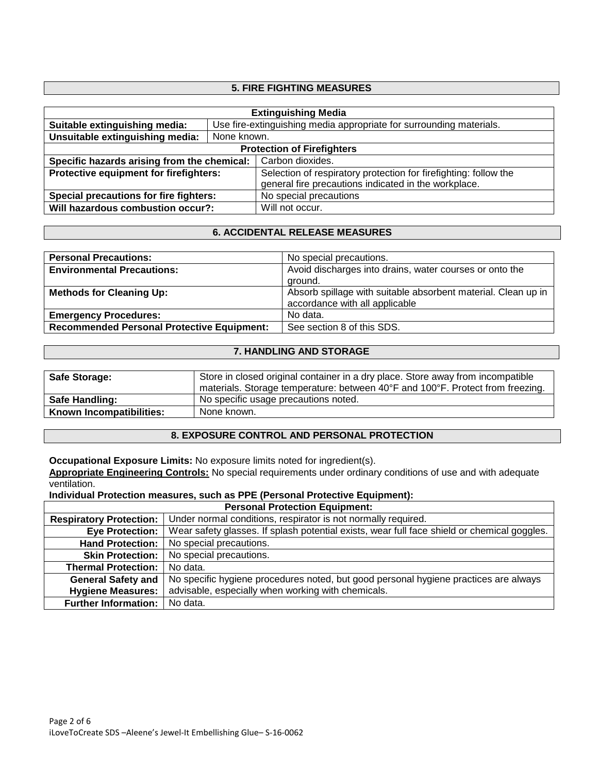## **5. FIRE FIGHTING MEASURES**

| <b>Extinguishing Media</b>                  |                                                                     |                                                                  |  |
|---------------------------------------------|---------------------------------------------------------------------|------------------------------------------------------------------|--|
| Suitable extinguishing media:               | Use fire-extinguishing media appropriate for surrounding materials. |                                                                  |  |
| Unsuitable extinguishing media:             | None known.                                                         |                                                                  |  |
| <b>Protection of Firefighters</b>           |                                                                     |                                                                  |  |
| Specific hazards arising from the chemical: |                                                                     | Carbon dioxides.                                                 |  |
| Protective equipment for firefighters:      |                                                                     | Selection of respiratory protection for firefighting: follow the |  |
|                                             |                                                                     | general fire precautions indicated in the workplace.             |  |
| Special precautions for fire fighters:      |                                                                     | No special precautions                                           |  |
| Will hazardous combustion occur?:           |                                                                     | Will not occur.                                                  |  |

## **6. ACCIDENTAL RELEASE MEASURES**

| <b>Personal Precautions:</b>                      | No special precautions.                                       |  |
|---------------------------------------------------|---------------------------------------------------------------|--|
| <b>Environmental Precautions:</b>                 | Avoid discharges into drains, water courses or onto the       |  |
|                                                   | ground.                                                       |  |
| <b>Methods for Cleaning Up:</b>                   | Absorb spillage with suitable absorbent material. Clean up in |  |
|                                                   | accordance with all applicable                                |  |
| <b>Emergency Procedures:</b>                      | No data.                                                      |  |
| <b>Recommended Personal Protective Equipment:</b> | See section 8 of this SDS.                                    |  |

### **7. HANDLING AND STORAGE**

| <b>Safe Storage:</b>     | Store in closed original container in a dry place. Store away from incompatible<br>materials. Storage temperature: between 40°F and 100°F. Protect from freezing. |
|--------------------------|-------------------------------------------------------------------------------------------------------------------------------------------------------------------|
| Safe Handling:           | No specific usage precautions noted.                                                                                                                              |
| Known Incompatibilities: | None known.                                                                                                                                                       |

## **8. EXPOSURE CONTROL AND PERSONAL PROTECTION**

**Occupational Exposure Limits:** No exposure limits noted for ingredient(s).

**Appropriate Engineering Controls:** No special requirements under ordinary conditions of use and with adequate ventilation.

**Individual Protection measures, such as PPE (Personal Protective Equipment):**

| <b>Personal Protection Equipment:</b> |                                                                                             |  |
|---------------------------------------|---------------------------------------------------------------------------------------------|--|
| <b>Respiratory Protection:</b>        | Under normal conditions, respirator is not normally required.                               |  |
| <b>Eye Protection:</b>                | Wear safety glasses. If splash potential exists, wear full face shield or chemical goggles. |  |
| <b>Hand Protection:</b>               | No special precautions.                                                                     |  |
| <b>Skin Protection:</b>               | No special precautions.                                                                     |  |
| <b>Thermal Protection:</b>            | No data.                                                                                    |  |
| <b>General Safety and</b>             | No specific hygiene procedures noted, but good personal hygiene practices are always        |  |
| <b>Hygiene Measures:</b>              | advisable, especially when working with chemicals.                                          |  |
| <b>Further Information:</b>           | No data.                                                                                    |  |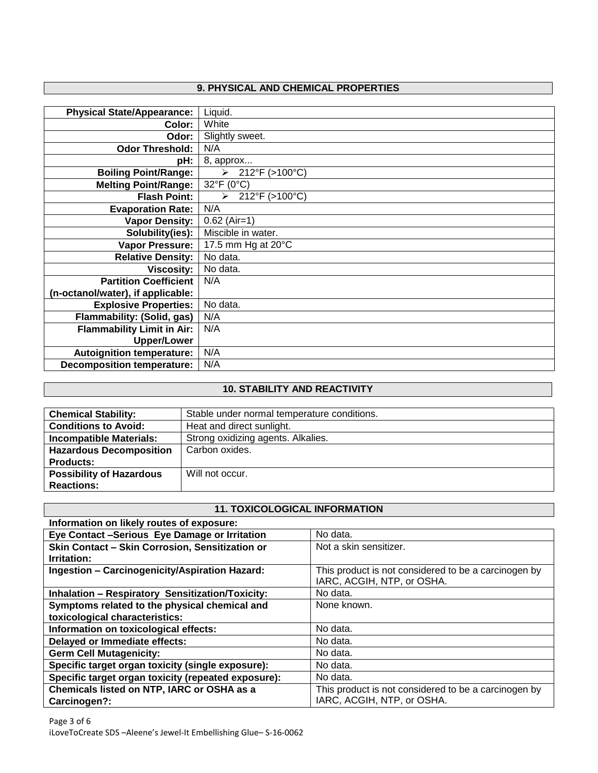# **9. PHYSICAL AND CHEMICAL PROPERTIES**

| <b>Physical State/Appearance:</b> | Liquid.                                 |
|-----------------------------------|-----------------------------------------|
| Color:                            | White                                   |
| Odor:                             | Slightly sweet.                         |
| <b>Odor Threshold:</b>            | N/A                                     |
| pH:                               | 8, approx                               |
| <b>Boiling Point/Range:</b>       | $\triangleright$ 212°F (>100°C)         |
| <b>Melting Point/Range:</b>       | 32°F (0°C)                              |
| <b>Flash Point:</b>               | 212°F (>100°C)<br>$\blacktriangleright$ |
| <b>Evaporation Rate:</b>          | N/A                                     |
| <b>Vapor Density:</b>             | $0.62$ (Air=1)                          |
| Solubility(ies):                  | Miscible in water.                      |
| <b>Vapor Pressure:</b>            | 17.5 mm Hg at 20°C                      |
| <b>Relative Density:</b>          | No data.                                |
| <b>Viscosity:</b>                 | No data.                                |
| <b>Partition Coefficient</b>      | N/A                                     |
| (n-octanol/water), if applicable: |                                         |
| <b>Explosive Properties:</b>      | No data.                                |
| Flammability: (Solid, gas)        | N/A                                     |
| <b>Flammability Limit in Air:</b> | N/A                                     |
| <b>Upper/Lower</b>                |                                         |
| <b>Autoignition temperature:</b>  | N/A                                     |
| <b>Decomposition temperature:</b> | N/A                                     |

# **10. STABILITY AND REACTIVITY**

| <b>Chemical Stability:</b>      | Stable under normal temperature conditions. |
|---------------------------------|---------------------------------------------|
| <b>Conditions to Avoid:</b>     | Heat and direct sunlight.                   |
| <b>Incompatible Materials:</b>  | Strong oxidizing agents. Alkalies.          |
| <b>Hazardous Decomposition</b>  | Carbon oxides.                              |
| <b>Products:</b>                |                                             |
| <b>Possibility of Hazardous</b> | Will not occur.                             |
| <b>Reactions:</b>               |                                             |

### **11. TOXICOLOGICAL INFORMATION**

| Information on likely routes of exposure:               |                                                                                    |  |
|---------------------------------------------------------|------------------------------------------------------------------------------------|--|
| Eye Contact -Serious Eye Damage or Irritation           | No data.                                                                           |  |
| Skin Contact - Skin Corrosion, Sensitization or         | Not a skin sensitizer.                                                             |  |
| Irritation:                                             |                                                                                    |  |
| Ingestion - Carcinogenicity/Aspiration Hazard:          | This product is not considered to be a carcinogen by<br>IARC, ACGIH, NTP, or OSHA. |  |
| <b>Inhalation - Respiratory Sensitization/Toxicity:</b> | No data.                                                                           |  |
| Symptoms related to the physical chemical and           | None known.                                                                        |  |
| toxicological characteristics:                          |                                                                                    |  |
| Information on toxicological effects:                   | No data.                                                                           |  |
| Delayed or Immediate effects:                           | No data.                                                                           |  |
| <b>Germ Cell Mutagenicity:</b>                          | No data.                                                                           |  |
| Specific target organ toxicity (single exposure):       | No data.                                                                           |  |
| Specific target organ toxicity (repeated exposure):     | No data.                                                                           |  |
| Chemicals listed on NTP, IARC or OSHA as a              | This product is not considered to be a carcinogen by                               |  |
| Carcinogen?:                                            | IARC, ACGIH, NTP, or OSHA.                                                         |  |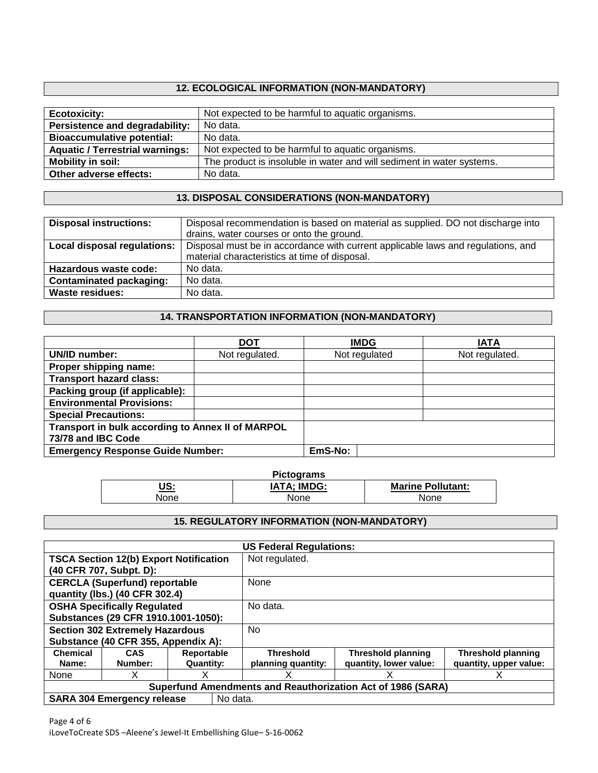# **12. ECOLOGICAL INFORMATION (NON-MANDATORY)**

| <b>Ecotoxicity:</b>                    | Not expected to be harmful to aquatic organisms.                      |
|----------------------------------------|-----------------------------------------------------------------------|
| Persistence and degradability:         | No data.                                                              |
| <b>Bioaccumulative potential:</b>      | No data.                                                              |
| <b>Aquatic / Terrestrial warnings:</b> | Not expected to be harmful to aquatic organisms.                      |
| Mobility in soil:                      | The product is insoluble in water and will sediment in water systems. |
| Other adverse effects:                 | No data.                                                              |

## **13. DISPOSAL CONSIDERATIONS (NON-MANDATORY)**

| <b>Disposal instructions:</b>  | Disposal recommendation is based on material as supplied. DO not discharge into  |
|--------------------------------|----------------------------------------------------------------------------------|
|                                | drains, water courses or onto the ground.                                        |
| Local disposal regulations:    | Disposal must be in accordance with current applicable laws and regulations, and |
|                                | material characteristics at time of disposal.                                    |
| Hazardous waste code:          | No data.                                                                         |
| <b>Contaminated packaging:</b> | No data.                                                                         |
| <b>Waste residues:</b>         | No data.                                                                         |
|                                |                                                                                  |

## **14. TRANSPORTATION INFORMATION (NON-MANDATORY)**

|                                                   | <b>DOT</b>     | <b>IMDG</b>   | <b>IATA</b>    |
|---------------------------------------------------|----------------|---------------|----------------|
| UN/ID number:                                     | Not regulated. | Not regulated | Not regulated. |
| Proper shipping name:                             |                |               |                |
| <b>Transport hazard class:</b>                    |                |               |                |
| Packing group (if applicable):                    |                |               |                |
| <b>Environmental Provisions:</b>                  |                |               |                |
| <b>Special Precautions:</b>                       |                |               |                |
| Transport in bulk according to Annex II of MARPOL |                |               |                |
| 73/78 and IBC Code                                |                |               |                |
| <b>Emergency Response Guide Number:</b>           |                | EmS-No:       |                |

| <b>Pictograms</b> |                    |                          |  |
|-------------------|--------------------|--------------------------|--|
| US:<br>___        | <b>IATA; IMDG:</b> | <b>Marine Pollutant:</b> |  |
| None              | None               | None                     |  |

## **15. REGULATORY INFORMATION (NON-MANDATORY)**

| <b>US Federal Regulations:</b>                              |                                               |                                              |                    |                           |                           |
|-------------------------------------------------------------|-----------------------------------------------|----------------------------------------------|--------------------|---------------------------|---------------------------|
|                                                             | <b>TSCA Section 12(b) Export Notification</b> |                                              | Not regulated.     |                           |                           |
|                                                             | (40 CFR 707, Subpt. D):                       |                                              |                    |                           |                           |
| <b>CERCLA (Superfund) reportable</b>                        |                                               | None                                         |                    |                           |                           |
|                                                             | quantity (lbs.) (40 CFR 302.4)                |                                              |                    |                           |                           |
|                                                             | <b>OSHA Specifically Regulated</b>            |                                              | No data.           |                           |                           |
| Substances (29 CFR 1910.1001-1050):                         |                                               |                                              |                    |                           |                           |
|                                                             |                                               | <b>Section 302 Extremely Hazardous</b><br>No |                    |                           |                           |
| Substance (40 CFR 355, Appendix A):                         |                                               |                                              |                    |                           |                           |
| <b>Chemical</b>                                             | <b>CAS</b>                                    | Reportable                                   | <b>Threshold</b>   | <b>Threshold planning</b> | <b>Threshold planning</b> |
| Name:                                                       | Number:                                       | <b>Quantity:</b>                             | planning quantity: | quantity, lower value:    | quantity, upper value:    |
| None                                                        | x                                             | x                                            |                    |                           | X                         |
| Superfund Amendments and Reauthorization Act of 1986 (SARA) |                                               |                                              |                    |                           |                           |
|                                                             | No data.<br><b>SARA 304 Emergency release</b> |                                              |                    |                           |                           |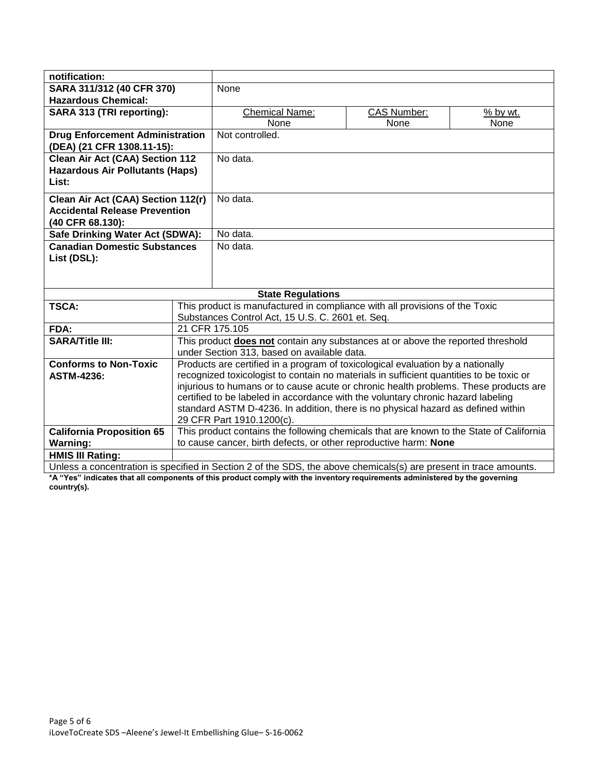| notification:                          |                                                                                                                   |                                                                             |                    |            |
|----------------------------------------|-------------------------------------------------------------------------------------------------------------------|-----------------------------------------------------------------------------|--------------------|------------|
| SARA 311/312 (40 CFR 370)              |                                                                                                                   | None                                                                        |                    |            |
| <b>Hazardous Chemical:</b>             |                                                                                                                   |                                                                             |                    |            |
| SARA 313 (TRI reporting):              |                                                                                                                   | <b>Chemical Name:</b>                                                       | <b>CAS Number:</b> | $%$ by wt. |
|                                        |                                                                                                                   | None                                                                        | None               | None       |
| <b>Drug Enforcement Administration</b> |                                                                                                                   | Not controlled.                                                             |                    |            |
| (DEA) (21 CFR 1308.11-15):             |                                                                                                                   |                                                                             |                    |            |
| <b>Clean Air Act (CAA) Section 112</b> |                                                                                                                   | No data.                                                                    |                    |            |
| <b>Hazardous Air Pollutants (Haps)</b> |                                                                                                                   |                                                                             |                    |            |
| List:                                  |                                                                                                                   |                                                                             |                    |            |
| Clean Air Act (CAA) Section 112(r)     |                                                                                                                   | No data.                                                                    |                    |            |
| <b>Accidental Release Prevention</b>   |                                                                                                                   |                                                                             |                    |            |
| (40 CFR 68.130):                       |                                                                                                                   |                                                                             |                    |            |
| Safe Drinking Water Act (SDWA):        |                                                                                                                   | No data.                                                                    |                    |            |
| <b>Canadian Domestic Substances</b>    |                                                                                                                   | No data.                                                                    |                    |            |
| List (DSL):                            |                                                                                                                   |                                                                             |                    |            |
|                                        |                                                                                                                   |                                                                             |                    |            |
|                                        |                                                                                                                   |                                                                             |                    |            |
|                                        | <b>State Regulations</b>                                                                                          |                                                                             |                    |            |
| <b>TSCA:</b>                           |                                                                                                                   | This product is manufactured in compliance with all provisions of the Toxic |                    |            |
|                                        | Substances Control Act, 15 U.S. C. 2601 et. Seq.                                                                  |                                                                             |                    |            |
| FDA:                                   | 21 CFR 175.105                                                                                                    |                                                                             |                    |            |
| <b>SARA/Title III:</b>                 | This product <b>does not</b> contain any substances at or above the reported threshold                            |                                                                             |                    |            |
|                                        | under Section 313, based on available data.                                                                       |                                                                             |                    |            |
| <b>Conforms to Non-Toxic</b>           | Products are certified in a program of toxicological evaluation by a nationally                                   |                                                                             |                    |            |
| <b>ASTM-4236:</b>                      | recognized toxicologist to contain no materials in sufficient quantities to be toxic or                           |                                                                             |                    |            |
|                                        | injurious to humans or to cause acute or chronic health problems. These products are                              |                                                                             |                    |            |
|                                        | certified to be labeled in accordance with the voluntary chronic hazard labeling                                  |                                                                             |                    |            |
|                                        | standard ASTM D-4236. In addition, there is no physical hazard as defined within<br>29 CFR Part 1910.1200(c).     |                                                                             |                    |            |
| <b>California Proposition 65</b>       | This product contains the following chemicals that are known to the State of California                           |                                                                             |                    |            |
| <b>Warning:</b>                        | to cause cancer, birth defects, or other reproductive harm: None                                                  |                                                                             |                    |            |
| <b>HMIS III Rating:</b>                |                                                                                                                   |                                                                             |                    |            |
|                                        | Unless a concentration is specified in Section 2 of the SDS, the above chemicals(s) are present in trace amounts. |                                                                             |                    |            |

**\*A "Yes" indicates that all components of this product comply with the inventory requirements administered by the governing country(s).**